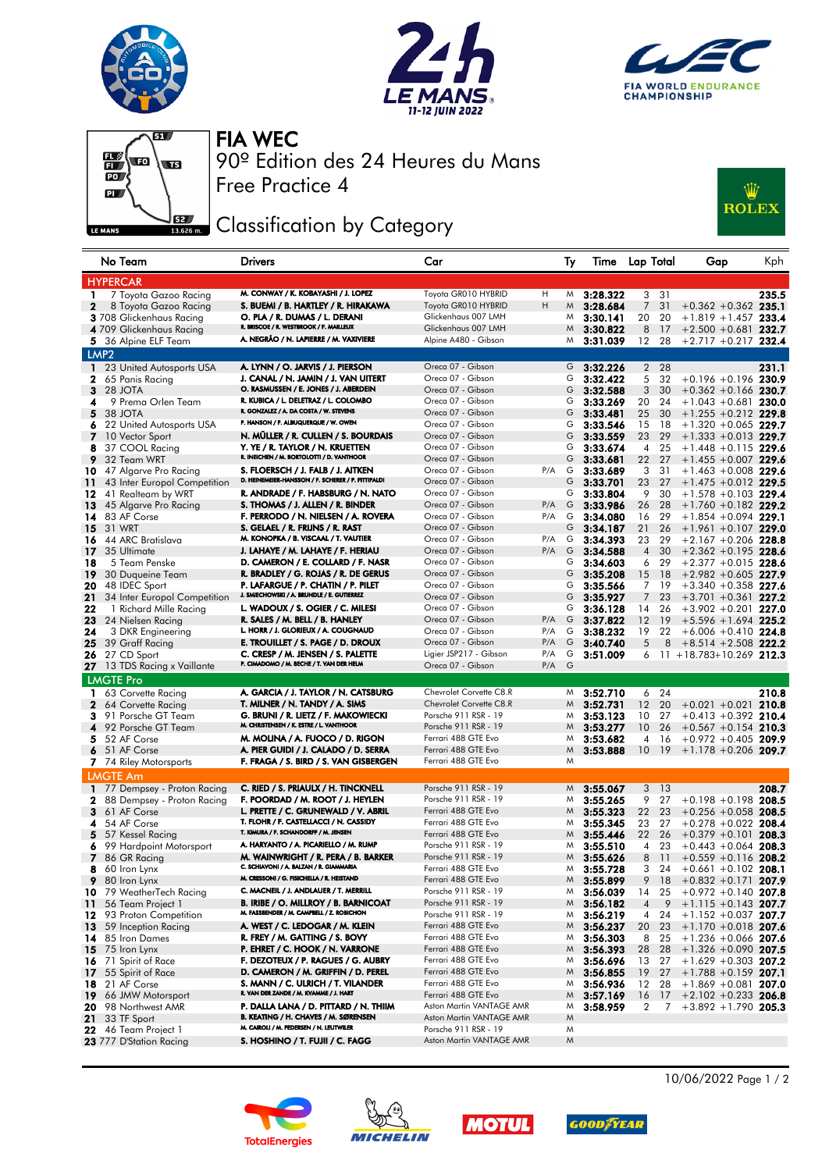







Free Practice 4 90º Edition des 24 Heures du Mans FIA WEC

## Classification by Category



|                          | No Team                               | <b>Drivers</b>                                                                          | Car                                        |            | Ty     | Time Lap Total       |                      |          | Gap                                             | Kph   |
|--------------------------|---------------------------------------|-----------------------------------------------------------------------------------------|--------------------------------------------|------------|--------|----------------------|----------------------|----------|-------------------------------------------------|-------|
|                          | <b>HYPERCAR</b>                       |                                                                                         |                                            |            |        |                      |                      |          |                                                 |       |
| 1.                       | 7 Toyota Gazoo Racing                 | M. CONWAY / K. KOBAYASHI / J. LOPEZ                                                     | Toyota GR010 HYBRID                        | Н          | M      | 3:28.322             | 3                    | 31       |                                                 | 235.5 |
| $\mathbf{2}$             | 8 Toyota Gazoo Racing                 | S. BUEMI / B. HARTLEY / R. HIRAKAWA                                                     | Toyota GR010 HYBRID                        | H          | M      | 3:28.684             | $\overline{7}$       | 31       | $+0.362 +0.362$ 235.1                           |       |
|                          | 3 708 Glickenhaus Racing              | O. PLA / R. DUMAS / L. DERANI                                                           | Glickenhaus 007 LMH                        |            | M      | 3:30.141             | 20                   | 20       | $+1.819 + 1.457$ 233.4                          |       |
|                          | 4 709 Glickenhaus Racing              | R. BRISCOE / R. WESTBROOK / F. MAILLEUX                                                 | Glickenhaus 007 LMH                        |            | M      | 3:30.822             | 8                    | -17      | $+2.500 + 0.681$ 232.7                          |       |
|                          | 5 36 Alpine ELF Team                  | A. NEGRÃO / N. LAPIERRE / M. VAXIVIERE                                                  | Alpine A480 - Gibson                       |            | M      | 3:31.039             | 12                   | 28       | $+2.717 +0.217$ 232.4                           |       |
|                          | LMP <sub>2</sub>                      |                                                                                         |                                            |            |        |                      |                      |          |                                                 |       |
| $\mathbf{1}$             | 23 United Autosports USA              | A. LYNN / O. JARVIS / J. PIERSON                                                        | Oreca 07 - Gibson                          |            | G      | 3:32.226             |                      | 2 28     |                                                 | 231.1 |
| 2                        | 65 Panis Racing                       | J. CANAL / N. JAMIN / J. VAN UITERT                                                     | Oreca 07 - Gibson                          |            | G      | 3:32.422             | 5                    | 32       | $+0.196 + 0.196$ 230.9                          |       |
| 3                        | 28 JOTA                               | O. RASMUSSEN / E. JONES / J. ABERDEIN                                                   | Oreca 07 - Gibson                          |            | G      | 3:32.588             | 3                    | 30       | $+0.362 +0.166$ 230.7                           |       |
| 4                        | 9 Prema Orlen Team                    | R. KUBICA / L. DELETRAZ / L. COLOMBO                                                    | Oreca 07 - Gibson                          |            | G      | 3:33.269             | 20                   | 24       | $+1.043 + 0.681$ 230.0                          |       |
| 5                        | 38 JOTA                               | R. GONZALEZ / A. DA COSTA / W. STEVENS                                                  | Oreca 07 - Gibson                          |            | G      | 3:33.481             | 25                   | 30       | $+1.255 +0.212$ 229.8                           |       |
| 6                        | 22 United Autosports USA              | P. HANSON / F. ALBUQUERQUE / W. OWEN                                                    | Oreca 07 - Gibson                          |            | G      | 3:33.546             | 15                   | 18       | $+1.320 + 0.065$ 229.7                          |       |
| $\overline{\phantom{a}}$ | 10 Vector Sport                       | N. MÜLLER / R. CULLEN / S. BOURDAIS                                                     | Oreca 07 - Gibson                          |            | G      | 3:33.559             | 23                   | 29       | $+1.333 + 0.013$ 229.7                          |       |
| 8                        | 37 COOL Racing                        | Y. YE / R. TAYLOR / N. KRUETTEN                                                         | Oreca 07 - Gibson                          |            | G      | 3:33.674             | 4                    | 25       | $+1.448 + 0.115$ 229.6                          |       |
| 9                        | 32 Team WRT                           | R. INEICHEN / M. BORTOLOTTI / D. VANTHOOR                                               | Oreca 07 - Gibson                          |            | G      | 3:33.681             | 22                   | 27       | $+1.455 + 0.007$ 229.6                          |       |
| 10                       | 47 Algarve Pro Racing                 | S. FLOERSCH / J. FALB / J. AITKEN<br>D. HEINEMEIER-HANSSON / F. SCHERER / P. FITTIPALDI | Oreca 07 - Gibson                          | P/A        | G      | 3:33.689             | 3                    | 31       | $+1.463 + 0.008$ 229.6                          |       |
| 11                       | 43 Inter Europol Competition          |                                                                                         | Oreca 07 - Gibson                          |            | G      | 3:33.701             | 23                   | 27       | $+1.475 +0.012$ 229.5                           |       |
| 12                       | 41 Realteam by WRT                    | R. ANDRADE / F. HABSBURG / N. NATO                                                      | Oreca 07 - Gibson                          |            | G      | 3:33.804             | 9                    | 30       | $+1.578 + 0.103$ 229.4                          |       |
| 13                       | 45 Algarve Pro Racing                 | S. THOMAS / J. ALLEN / R. BINDER                                                        | Oreca 07 - Gibson                          | P/A        | G      | 3:33.986             | 26                   | 28       | $+1.760 +0.182$ 229.2                           |       |
| 14                       | 83 AF Corse                           | F. PERRODO / N. NIELSEN / A. ROVERA                                                     | Oreca 07 - Gibson                          | P/A        | G      | 3:34.080             | 16                   | 29       | $+1.854 + 0.094$ 229.1                          |       |
| 15                       | 31 WRT                                | S. GELAEL / R. FRIJNS / R. RAST<br>M. KONOPKA / B. VISCAAL / T. VAUTIER                 | Oreca 07 - Gibson<br>Oreca 07 - Gibson     |            | G      | 3:34.187             | 21                   | 26       | $+1.961 +0.107$ 229.0                           |       |
| 16                       | 44 ARC Bratislava                     | J. LAHAYE / M. LAHAYE / F. HERIAU                                                       | Oreca 07 - Gibson                          | P/A<br>P/A | G<br>G | 3:34.393             | 23                   | 29       | $+2.167 + 0.206$ 228.8                          |       |
| 17 <sup>2</sup>          | 35 Ultimate<br>5 Team Penske          | D. CAMERON / E. COLLARD / F. NASR                                                       | Oreca 07 - Gibson                          |            | G      | 3:34.588             | $\overline{4}$       | 30<br>29 | $+2.362 +0.195$ 228.6                           |       |
| 18<br>19                 | 30 Duqueine Team                      | R. BRADLEY / G. ROJAS / R. DE GERUS                                                     | Oreca 07 - Gibson                          |            | G      | 3:34.603<br>3:35.208 | 6<br>15              | 18       | $+2.377 +0.015$ 228.6<br>$+2.982 + 0.605$ 227.9 |       |
| 20                       | 48 IDEC Sport                         | P. LAFARGUE / P. CHATIN / P. PILET                                                      | Oreca 07 - Gibson                          |            | G      | 3:35.566             | $7^{\circ}$          | 19       | $+3.340 + 0.358$ 227.6                          |       |
| 21                       | 34 Inter Europol Competition          | J. SMIECHOWSKI / A. BRUNDLE / E. GUTIERREZ                                              | Oreca 07 - Gibson                          |            | G      | 3:35.927             | $\overline{7}$       | 23       | $+3.701 + 0.361$ 227.2                          |       |
| 22                       | 1 Richard Mille Racing                | L. WADOUX / S. OGIER / C. MILESI                                                        | Oreca 07 - Gibson                          |            | G      | 3:36.128             | 14                   | 26       | $+3.902 +0.201$ 227.0                           |       |
| 23                       | 24 Nielsen Racing                     | R. SALES / M. BELL / B. HANLEY                                                          | Oreca 07 - Gibson                          | P/A        | G      | 3:37.822             | 12                   | 19       | $+5.596 + 1.694$ 225.2                          |       |
| 24                       | 3 DKR Engineering                     | L. HORR / J. GLORIEUX / A. COUGNAUD                                                     | Oreca 07 - Gibson                          | P/A        | G      | 3:38.232             | 19                   | 22       | $+6.006 + 0.410$ 224.8                          |       |
| 25                       | 39 Graff Racing                       | E. TROUILLET / S. PAGE / D. DROUX                                                       | Oreca 07 - Gibson                          | P/A        | G      | 3:40.740             | 5                    | 8        | $+8.514 + 2.508$ 222.2                          |       |
| 26                       | 27 CD Sport                           | C. CRESP / M. JENSEN / S. PALETTE                                                       | Ligier JSP217 - Gibson                     | P/A        | G      | 3:51.009             | 6                    |          | $11 + 18.783 + 10.269$ 212.3                    |       |
| 27                       | 13 TDS Racing x Vaillante             | P. CIMADOMO / M. BECHE / T. VAN DER HELM                                                | Oreca 07 - Gibson                          | P/A        | G      |                      |                      |          |                                                 |       |
|                          | <b>LMGTE Pro</b>                      |                                                                                         |                                            |            |        |                      |                      |          |                                                 |       |
| 1                        | 63 Corvette Racing                    | A. GARCIA / J. TAYLOR / N. CATSBURG                                                     | Chevrolet Corvette C8.R                    |            | M      | 3:52.710             | 6                    | 24       |                                                 | 210.8 |
| $\mathbf{2}$             | 64 Corvette Racing                    | T. MILNER / N. TANDY / A. SIMS                                                          | Chevrolet Corvette C8.R                    |            | M      | 3:52.731             | 12                   | 20       | $+0.021 +0.021$ 210.8                           |       |
| з                        | 91 Porsche GT Team                    | G. BRUNI / R. LIETZ / F. MAKOWIECKI                                                     | Porsche 911 RSR - 19                       |            | M      | 3:53.123             | 10                   | 27       | $+0.413 + 0.392$ 210.4                          |       |
| 4                        | 92 Porsche GT Team                    | M. CHRISTENSEN / K. ESTRE / L. VANTHOOR                                                 | Porsche 911 RSR - 19                       |            | M      | 3:53.277             | 10 <sup>°</sup>      | 26       | $+0.567 +0.154$ 210.3                           |       |
| 5                        | 52 AF Corse                           | M. MOLINA / A. FUOCO / D. RIGON                                                         | Ferrari 488 GTE Evo                        |            | M      | 3:53.682             | 4                    | 16       | $+0.972 +0.405$ 209.9                           |       |
| 6                        | 51 AF Corse                           | A. PIER GUIDI / J. CALADO / D. SERRA                                                    | Ferrari 488 GTE Evo                        |            | M      | 3:53.888             | 10                   | 19       | $+1.178 + 0.206$ 209.7                          |       |
|                          | 7 74 Riley Motorsports                | F. FRAGA / S. BIRD / S. VAN GISBERGEN                                                   | Ferrari 488 GTE Evo                        |            | M      |                      |                      |          |                                                 |       |
|                          | <b>LMGTE Am</b>                       |                                                                                         |                                            |            |        |                      |                      |          |                                                 |       |
|                          | 1 77 Dempsey - Proton Racing          | C. RIED / S. PRIAULX / H. TINCKNELL                                                     | Porsche 911 RSR - 19                       |            | M      | 3:55.067             |                      | 3 13     |                                                 | 208.7 |
| 2                        | 88 Dempsey - Proton Racing            | F. POORDAD / M. ROOT / J. HEYLEN                                                        | Porsche 911 RSR - 19                       |            | M      | 3:55.265             | 9                    | 27       | $+0.198 + 0.198$ 208.5                          |       |
| 3                        | 61 AF Corse                           | L. PRETTE / C. GRUNEWALD / V. ABRIL                                                     | Ferrari 488 GTE Evo                        |            | M      | 3:55.323             | 22                   | 23       | $+0.256 + 0.058$ 208.5                          |       |
| 4                        | 54 AF Corse                           | T. FLOHR / F. CASTELLACCI / N. CASSIDY                                                  | Ferrari 488 GTE Evo                        |            | M      | 3:55.345             | 23                   | 27       | $+0.278 + 0.022$ 208.4                          |       |
| 5                        | 57 Kessel Racing                      | T. KIMURA / F. SCHANDORFF / M. JENSEN                                                   | Ferrari 488 GTE Evo                        |            | M      | 3:55.446             | 22 <sub>2</sub>      | 26       | $+0.379 +0.101$ 208.3                           |       |
| 6                        | 99 Hardpoint Motorsport               | A. HARYANTO / A. PICARIELLO / M. RUMP                                                   | Porsche 911 RSR - 19                       |            | M      | 3:55.510             | 4                    | 23       | $+0.443 + 0.064$ 208.3                          |       |
| 7.                       | 86 GR Racing                          | M. WAINWRIGHT / R. PERA / B. BARKER                                                     | Porsche 911 RSR - 19                       |            | M      | 3:55.626             | 8                    | 11       | $+0.559 +0.116$ 208.2                           |       |
| 8                        | 60 Iron Lynx                          | C. SCHIAVONI / A. BALZAN / R. GIAMMARIA                                                 | Ferrari 488 GTE Evo                        |            | M      | 3:55.728             | 3                    | 24       | $+0.661 + 0.102$ 208.1                          |       |
| 9                        | 80 Iron Lynx                          | M. CRESSONI / G. FISICHELLA / R. HEISTAND                                               | Ferrari 488 GTE Evo                        |            | M      | 3:55.899             | 9                    | 18       | $+0.832 +0.171$ 207.9                           |       |
| 10                       | 79 WeatherTech Racing                 | C. MACNEIL / J. ANDLAUER / T. MERRILL                                                   | Porsche 911 RSR - 19                       |            | M      | 3:56.039             | 14                   | 25       | $+0.972 +0.140$ 207.8                           |       |
| 11                       | 56 Team Project 1                     | <b>B. IRIBE / O. MILLROY / B. BARNICOAT</b>                                             | Porsche 911 RSR - 19                       |            | M      | 3:56.182             | $\overline{4}$       | 9        | $+1.115 + 0.143$ 207.7                          |       |
| 12                       | 93 Proton Competition                 | M. FASSBENDER / M. CAMPBELL / Z. ROBICHON                                               | Porsche 911 RSR - 19                       |            | M      | 3:56.219             | 4                    | 24       | $+1.152 + 0.037$ 207.7                          |       |
| 13                       | 59 Inception Racing                   | A. WEST / C. LEDOGAR / M. KLEIN                                                         | Ferrari 488 GTE Evo                        |            | M      | 3:56.237             | 20                   | 23       | $+1.170 + 0.018$ 207.6                          |       |
| 14                       | 85 Iron Dames                         | R. FREY / M. GATTING / S. BOVY                                                          | Ferrari 488 GTE Evo                        |            | M      | 3:56.303             | 8                    | 25       | $+1.236 + 0.066$ 207.6                          |       |
| 15                       | 75 Iron Lynx                          | P. EHRET / C. HOOK / N. VARRONE                                                         | Ferrari 488 GTE Evo<br>Ferrari 488 GTE Evo |            | M      | 3:56.393             | 28                   | 28       | $+1.326 + 0.090$ 207.5                          |       |
| 16                       | 71 Spirit of Race                     | F. DEZOTEUX / P. RAGUES / G. AUBRY<br>D. CAMERON / M. GRIFFIN / D. PEREL                | Ferrari 488 GTE Evo                        |            | M      | 3:56.696             |                      | 13 27    | $+1.629 + 0.303$ 207.2                          |       |
| 17                       | 55 Spirit of Race                     | S. MANN / C. ULRICH / T. VILANDER                                                       | Ferrari 488 GTE Evo                        |            | M      | 3:56.855             | 19                   | 27       | $+1.788 + 0.159$ 207.1                          |       |
| 18                       | 21 AF Corse                           | R. VAN DER ZANDE / M. KVAMME / J. HART                                                  | Ferrari 488 GTE Evo                        |            | M<br>M | 3:56.936<br>3:57.169 | 12                   | 28<br>17 | $+1.869 + 0.081$ 207.0                          |       |
| 19<br>20                 | 66 JMW Motorsport<br>98 Northwest AMR | P. DALLA LANA / D. PITTARD / N. THIIM                                                   | Aston Martin VANTAGE AMR                   |            | M      | 3:58.959             | 16<br>$\overline{2}$ | 7        | $+2.102 +0.233$ 206.8<br>$+3.892 + 1.790$ 205.3 |       |
| 21                       | 33 TF Sport                           | B. KEATING / H. CHAVES / M. SØRENSEN                                                    | Aston Martin VANTAGE AMR                   |            | M      |                      |                      |          |                                                 |       |
| 22                       | 46 Team Project 1                     | M. CAIROLI / M. PEDERSEN / N. LEUTWILER                                                 | Porsche 911 RSR - 19                       |            | M      |                      |                      |          |                                                 |       |
|                          | 23 777 D'Station Racing               | S. HOSHINO / T. FUJII / C. FAGG                                                         | Aston Martin VANTAGE AMR                   |            | M      |                      |                      |          |                                                 |       |
|                          |                                       |                                                                                         |                                            |            |        |                      |                      |          |                                                 |       |









10/06/2022 Page 1 / 2